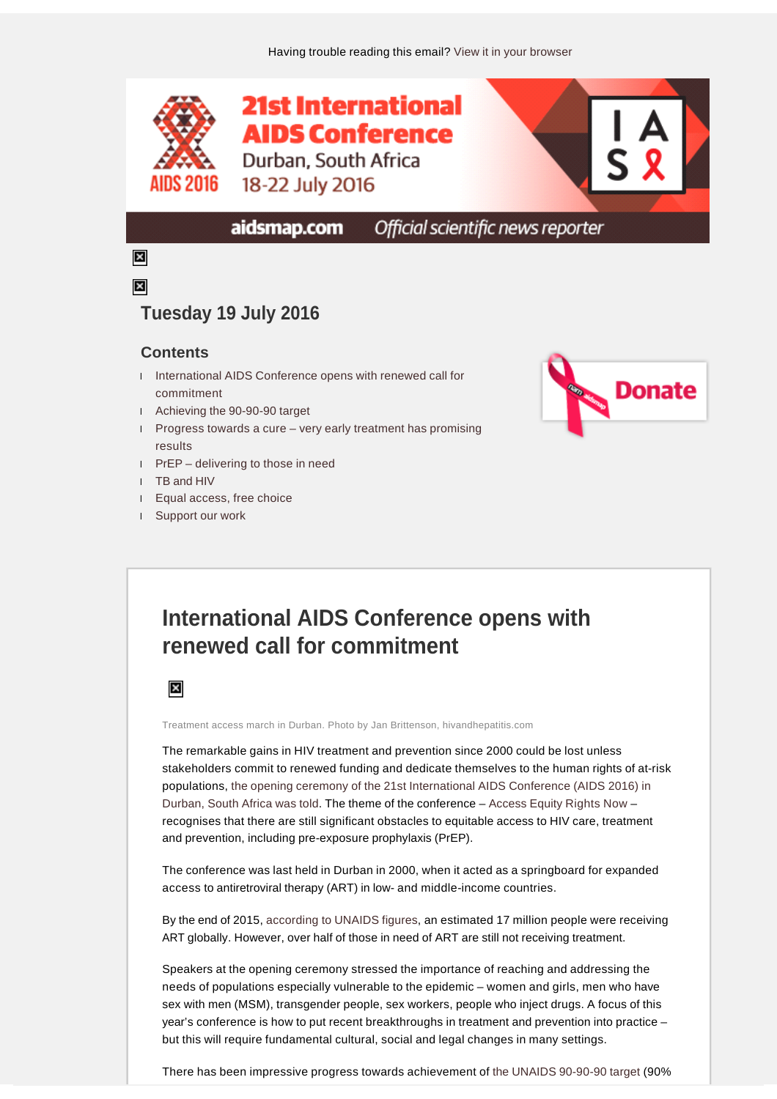

#### Official scientific news reporter aidsmap.com

### $\boldsymbol{\times}$  $\overline{\mathbf{x}}$

### **Tuesday 19 July 2016**

### **Contents**

- l [International AIDS Conference opens with renewed call for](file:///C:/Users/aidsmap/AppData/Local/Temp/ABCpdf/d55ac85e-7234-4ba2-a1b7-2e823811a27e.html#item3072009)  [commitment](file:///C:/Users/aidsmap/AppData/Local/Temp/ABCpdf/d55ac85e-7234-4ba2-a1b7-2e823811a27e.html#item3072009)
- l [Achieving the 90-90-90 target](file:///C:/Users/aidsmap/AppData/Local/Temp/ABCpdf/d55ac85e-7234-4ba2-a1b7-2e823811a27e.html#item3072010)
- l Progress towards a cure [very early treatment has promising](file:///C:/Users/aidsmap/AppData/Local/Temp/ABCpdf/d55ac85e-7234-4ba2-a1b7-2e823811a27e.html#item3072011)  [results](file:///C:/Users/aidsmap/AppData/Local/Temp/ABCpdf/d55ac85e-7234-4ba2-a1b7-2e823811a27e.html#item3072011)
- l PrEP [delivering to those in need](file:///C:/Users/aidsmap/AppData/Local/Temp/ABCpdf/d55ac85e-7234-4ba2-a1b7-2e823811a27e.html#item3072012)
- l [TB and HIV](file:///C:/Users/aidsmap/AppData/Local/Temp/ABCpdf/d55ac85e-7234-4ba2-a1b7-2e823811a27e.html#item3072013)
- l [Equal access, free choice](file:///C:/Users/aidsmap/AppData/Local/Temp/ABCpdf/d55ac85e-7234-4ba2-a1b7-2e823811a27e.html#item3072014)
- l [Support our work](file:///C:/Users/aidsmap/AppData/Local/Temp/ABCpdf/d55ac85e-7234-4ba2-a1b7-2e823811a27e.html#item3072008)



# **International AIDS Conference opens with renewed call for commitment**



Treatment access march in Durban. Photo by Jan Brittenson, hivandhepatitis.com

The remarkable gains in HIV treatment and prevention since 2000 could be lost unless stakeholders commit to renewed funding and dedicate themselves to the human rights of at-risk populations, [the opening ceremony of the 21st International AIDS Conference \(AIDS 2016\) in](http://www.aidsmap.com/Gains-in-curbing-HIV-epidemic-could-be-lost-without-continued-commitment-AIDS-2016-speakers-say/page/3071917/) [Durban, South Africa was told](http://www.aidsmap.com/Gains-in-curbing-HIV-epidemic-could-be-lost-without-continued-commitment-AIDS-2016-speakers-say/page/3071917/). The theme of the conference – [Access Equity Rights Now](http://www.aids2016.org/About/Overview/Theme-Objectives) – recognises that there are still significant obstacles to equitable access to HIV care, treatment and prevention, including pre-exposure prophylaxis (PrEP).

The conference was last held in Durban in 2000, when it acted as a springboard for expanded access to antiretroviral therapy (ART) in low- and middle-income countries.

By the end of 2015, [according to UNAIDS figures,](http://www.aidsmap.com/Two-million-people-with-HIV-started-treatment-in-2015/page/3060530/) an estimated 17 million people were receiving ART globally. However, over half of those in need of ART are still not receiving treatment.

Speakers at the opening ceremony stressed the importance of reaching and addressing the needs of populations especially vulnerable to the epidemic – women and girls, men who have sex with men (MSM), transgender people, sex workers, people who inject drugs. A focus of this year's conference is how to put recent breakthroughs in treatment and prevention into practice – but this will require fundamental cultural, social and legal changes in many settings.

There has been impressive progress towards achievement of [the UNAIDS 90-90-90 target](http://www.aidsmap.com/90-90-90) (90%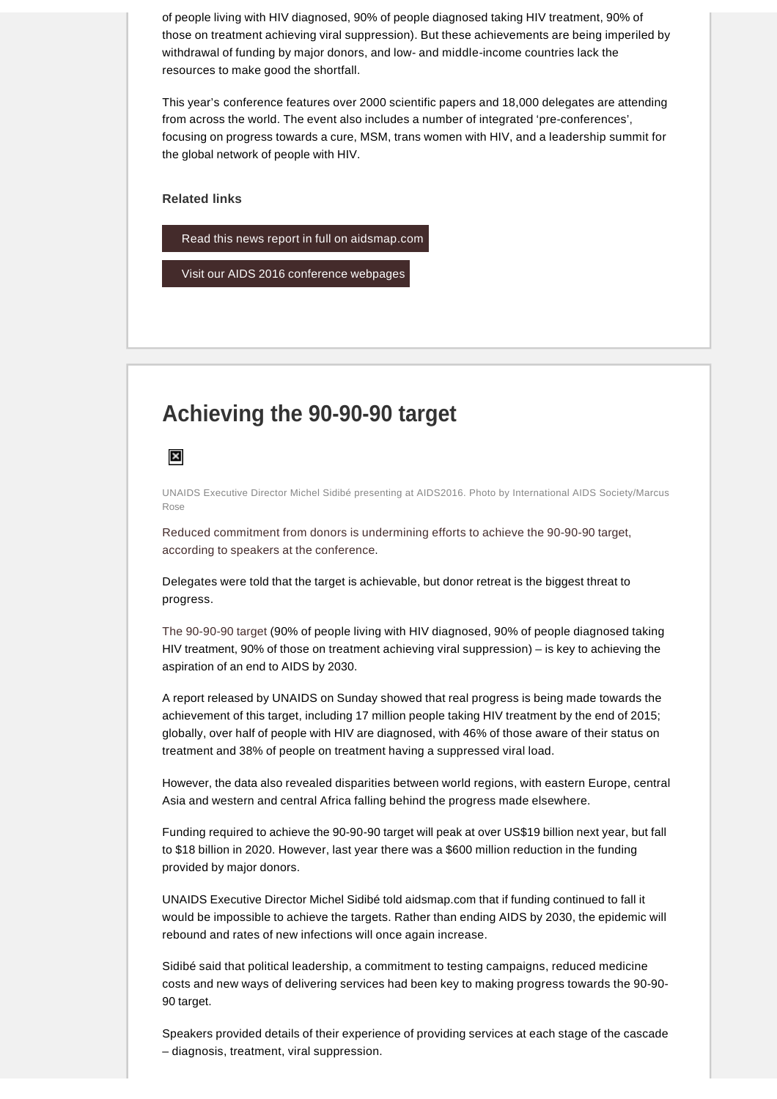of people living with HIV diagnosed, 90% of people diagnosed taking HIV treatment, 90% of those on treatment achieving viral suppression). But these achievements are being imperiled by withdrawal of funding by major donors, and low- and middle-income countries lack the resources to make good the shortfall.

This year's conference features over 2000 scientific papers and 18,000 delegates are attending from across the world. The event also includes a number of integrated 'pre-conferences', focusing on progress towards a cure, MSM, trans women with HIV, and a leadership summit for the global network of people with HIV.

**Related links** 



[Visit our AIDS 2016 conference webpages](http://www.aidsmap.com/aids2016)

# **Achieving the 90-90-90 target**

 $\boldsymbol{\mathsf{x}}$ 

UNAIDS Executive Director Michel Sidibé presenting at AIDS2016. Photo by International AIDS Society/Marcus Rose

[Reduced commitment from donors is undermining efforts to achieve the 90-90-90 target,](http://www.aidsmap.com/Progress-towards-90-90-90-targets-is-promising-but-funding-is-the-critical-step-says-UNAIDS-leader/page/3071870/) [according to speakers at the conference](http://www.aidsmap.com/Progress-towards-90-90-90-targets-is-promising-but-funding-is-the-critical-step-says-UNAIDS-leader/page/3071870/).

Delegates were told that the target is achievable, but donor retreat is the biggest threat to progress.

[The 90-90-90 target](http://www.aidsmap.com/90-90-90) (90% of people living with HIV diagnosed, 90% of people diagnosed taking HIV treatment, 90% of those on treatment achieving viral suppression) – is key to achieving the aspiration of an end to AIDS by 2030.

A report released by UNAIDS on Sunday showed that real progress is being made towards the achievement of this target, including 17 million people taking HIV treatment by the end of 2015; globally, over half of people with HIV are diagnosed, with 46% of those aware of their status on treatment and 38% of people on treatment having a suppressed viral load.

However, the data also revealed disparities between world regions, with eastern Europe, central Asia and western and central Africa falling behind the progress made elsewhere.

Funding required to achieve the 90-90-90 target will peak at over US\$19 billion next year, but fall to \$18 billion in 2020. However, last year there was a \$600 million reduction in the funding provided by major donors.

UNAIDS Executive Director Michel Sidibé told aidsmap.com that if funding continued to fall it would be impossible to achieve the targets. Rather than ending AIDS by 2030, the epidemic will rebound and rates of new infections will once again increase.

Sidibé said that political leadership, a commitment to testing campaigns, reduced medicine costs and new ways of delivering services had been key to making progress towards the 90-90- 90 target.

Speakers provided details of their experience of providing services at each stage of the cascade – diagnosis, treatment, viral suppression.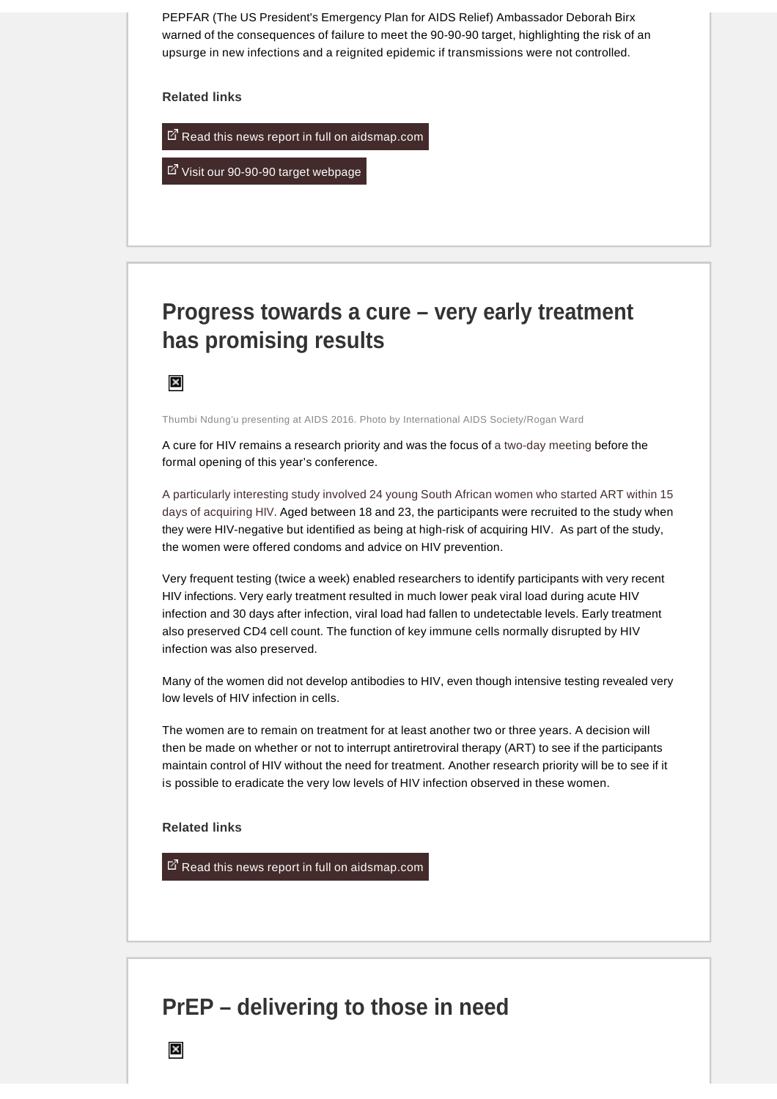PEPFAR (The US President's Emergency Plan for AIDS Relief) Ambassador Deborah Birx warned of the consequences of failure to meet the 90-90-90 target, highlighting the risk of an upsurge in new infections and a reignited epidemic if transmissions were not controlled.

**Related links** 

 $\mathbb{Z}$  [Read this news report in full on aidsmap.com](http://www.aidsmap.com/Progress-towards-90-90-90-targets-is-promising-but-funding-is-the-critical-step-says-UNAIDS-leader/page/3071870/)

 $\mathbb{Z}$  [Visit our 90-90-90 target webpage](http://www.aidsmap.com/90-90-90)

# **Progress towards a cure – very early treatment has promising results**

 $\boldsymbol{\mathsf{x}}$ 

Thumbi Ndung'u presenting at AIDS 2016. Photo by International AIDS Society/Rogan Ward

A cure for HIV remains a research priority and was the focus of [a two-day meeting](http://www.iasociety.org/HIV-programmes/Towards-an-HIV-Cure/Events/2016-Symposium) before the formal opening of this year's conference.

[A particularly interesting study involved 24 young South African women who started ART within 15](http://www.aidsmap.com/Young-women-treated-in-very-early-HIV-infection-stay-HIV-negative-and-preserve-immune-function/page/3071827/)  [days of acquiring HIV.](http://www.aidsmap.com/Young-women-treated-in-very-early-HIV-infection-stay-HIV-negative-and-preserve-immune-function/page/3071827/) Aged between 18 and 23, the participants were recruited to the study when they were HIV-negative but identified as being at high-risk of acquiring HIV. As part of the study, the women were offered condoms and advice on HIV prevention.

Very frequent testing (twice a week) enabled researchers to identify participants with very recent HIV infections. Very early treatment resulted in much lower peak viral load during acute HIV infection and 30 days after infection, viral load had fallen to undetectable levels. Early treatment also preserved CD4 cell count. The function of key immune cells normally disrupted by HIV infection was also preserved.

Many of the women did not develop antibodies to HIV, even though intensive testing revealed very low levels of HIV infection in cells.

The women are to remain on treatment for at least another two or three years. A decision will then be made on whether or not to interrupt antiretroviral therapy (ART) to see if the participants maintain control of HIV without the need for treatment. Another research priority will be to see if it is possible to eradicate the very low levels of HIV infection observed in these women.

**Related links** 

[Read this news report in full on aidsmap.com](http://www.aidsmap.com/Young-women-treated-in-very-early-HIV-infection-stay-HIV-negative-and-preserve-immune-function/page/3071827/)

### **PrEP – delivering to those in need**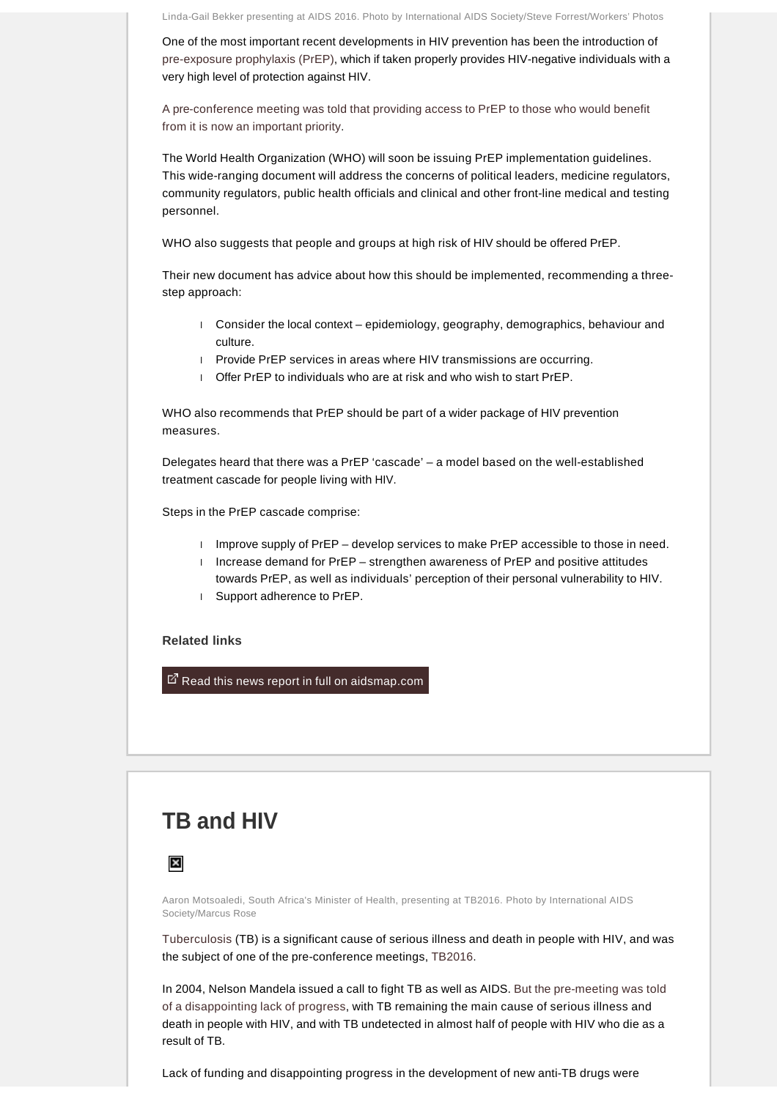Linda-Gail Bekker presenting at AIDS 2016. Photo by International AIDS Society/Steve Forrest/Workers' Photos

One of the most important recent developments in HIV prevention has been the introduction of [pre-exposure prophylaxis \(PrEP\),](http://www.aidsmap.com/PrEP/cat/1623/) which if taken properly provides HIV-negative individuals with a very high level of protection against HIV.

[A pre-conference meeting was told that providing access to PrEP to those who would benefit](http://www.aidsmap.com/PrEP-researchers-now-focusing-on-the-best-ways-to-get-PrEP-to-people-who-need-it/page/3071679/)  [from it is now an important priority](http://www.aidsmap.com/PrEP-researchers-now-focusing-on-the-best-ways-to-get-PrEP-to-people-who-need-it/page/3071679/).

The World Health Organization (WHO) will soon be issuing PrEP implementation guidelines. This wide-ranging document will address the concerns of political leaders, medicine regulators, community regulators, public health officials and clinical and other front-line medical and testing personnel.

WHO also suggests that people and groups at high risk of HIV should be offered PrEP.

Their new document has advice about how this should be implemented, recommending a threestep approach:

- l Consider the local context epidemiology, geography, demographics, behaviour and culture.
- l Provide PrEP services in areas where HIV transmissions are occurring.
- l Offer PrEP to individuals who are at risk and who wish to start PrEP.

WHO also recommends that PrEP should be part of a wider package of HIV prevention measures.

Delegates heard that there was a PrEP 'cascade' – a model based on the well-established treatment cascade for people living with HIV.

Steps in the PrEP cascade comprise:

- I Improve supply of PrEP develop services to make PrEP accessible to those in need.
- I Increase demand for PrEP strengthen awareness of PrEP and positive attitudes towards PrEP, as well as individuals' perception of their personal vulnerability to HIV.
- l Support adherence to PrEP.

#### **Related links**

 $E^T$  [Read this news report in full on aidsmap.com](http://www.aidsmap.com/PrEP-researchers-now-focusing-on-the-best-ways-to-get-PrEP-to-people-who-need-it/page/3071679/)

# **TB and HIV**



Aaron Motsoaledi, South Africa's Minister of Health, presenting at TB2016. Photo by International AIDS Society/Marcus Rose

[Tuberculosis](http://www.aidsmap.com/Tuberculosis-and-HIV/cat/1502/) (TB) is a significant cause of serious illness and death in people with HIV, and was the subject of one of the pre-conference meetings, [TB2016](http://www.tb2016.org/).

In 2004, Nelson Mandela issued a call to fight TB as well as AIDS. [But the pre-meeting was told](http://www.aidsmap.com/TB2016-demands-a-global-commitment-to-end-TB/page/3071912/)  [of a disappointing lack of progress,](http://www.aidsmap.com/TB2016-demands-a-global-commitment-to-end-TB/page/3071912/) with TB remaining the main cause of serious illness and death in people with HIV, and with TB undetected in almost half of people with HIV who die as a result of TB.

Lack of funding and disappointing progress in the development of new anti-TB drugs were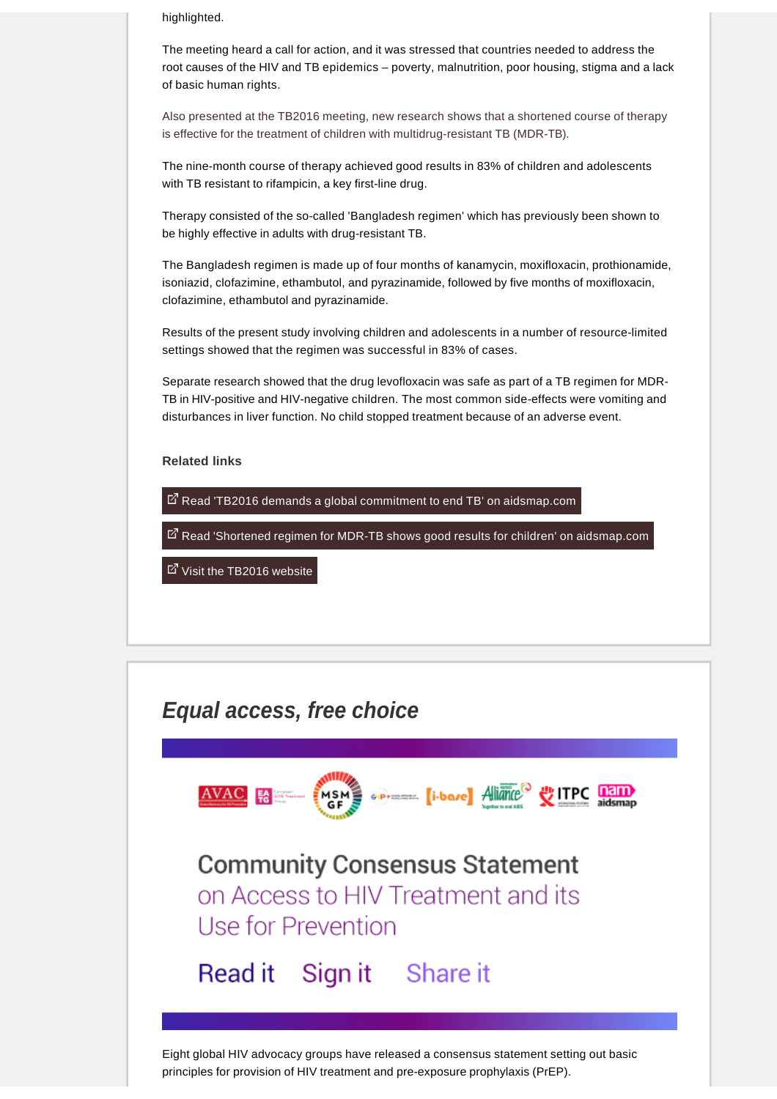highlighted.

The meeting heard a call for action, and it was stressed that countries needed to address the root causes of the HIV and TB epidemics – poverty, malnutrition, poor housing, stigma and a lack of basic human rights.

[Also presented at the TB2016 meeting, new research shows that a shortened course of therapy](http://www.aidsmap.com/Shortened-regimen-for-MDR-TB-shows-good-results-for-children/page/3071845/)  [is effective for the treatment of children with multidrug-resistant TB \(MDR-TB\).](http://www.aidsmap.com/Shortened-regimen-for-MDR-TB-shows-good-results-for-children/page/3071845/)

The nine-month course of therapy achieved good results in 83% of children and adolescents with TB resistant to rifampicin, a key first-line drug.

Therapy consisted of the so-called 'Bangladesh regimen' which has previously been shown to be highly effective in adults with drug-resistant TB.

The Bangladesh regimen is made up of four months of kanamycin, moxifloxacin, prothionamide, isoniazid, clofazimine, ethambutol, and pyrazinamide, followed by five months of moxifloxacin, clofazimine, ethambutol and pyrazinamide.

Results of the present study involving children and adolescents in a number of resource-limited settings showed that the regimen was successful in 83% of cases.

Separate research showed that the drug levofloxacin was safe as part of a TB regimen for MDR-TB in HIV-positive and HIV-negative children. The most common side-effects were vomiting and disturbances in liver function. No child stopped treatment because of an adverse event.

**Related links** 

 $\mathbb{Z}$  [Read 'TB2016 demands a global commitment to end TB' on aidsmap.com](http://www.aidsmap.com/TB2016-demands-a-global-commitment-to-end-TB/page/3071912/)

E<sup>7</sup> [Read 'Shortened regimen for MDR-TB shows good results for children' on aidsmap.com](http://www.aidsmap.com/Shortened-regimen-for-MDR-TB-shows-good-results-for-children/page/3071845/)

⊠ [Visit the TB2016 website](http://www.tb2016.org/)



principles for provision of HIV treatment and pre-exposure prophylaxis (PrEP).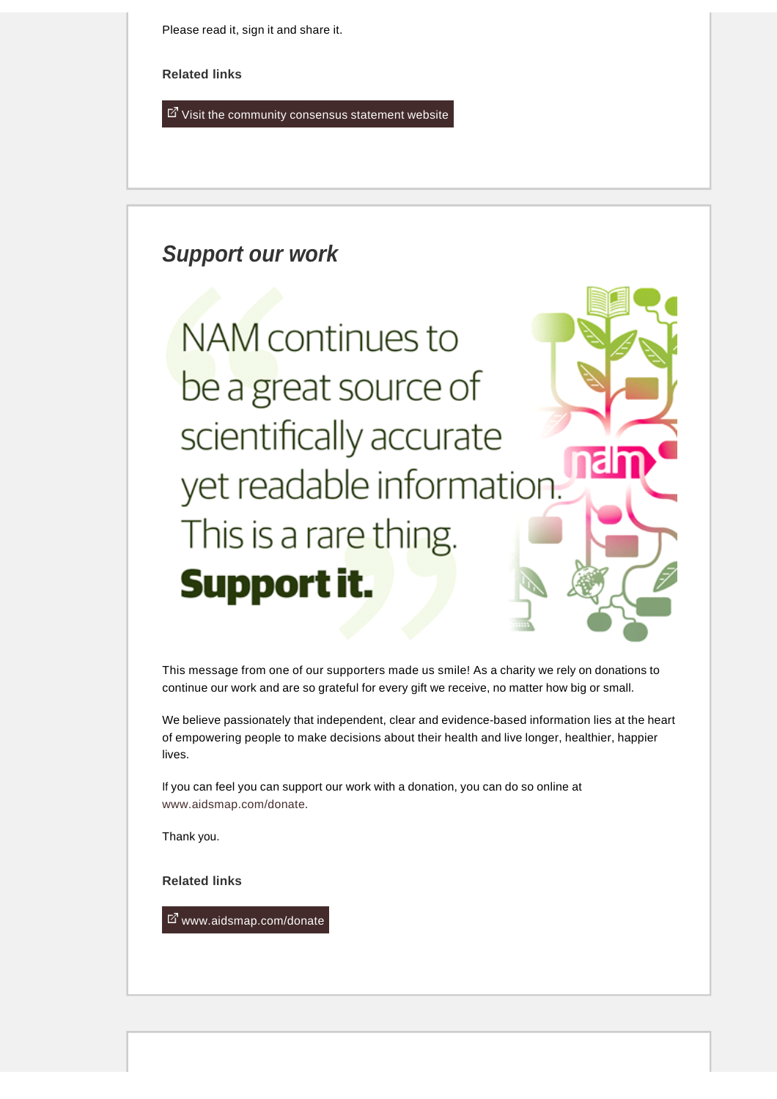Please read it, sign it and share it.

**Related links** 

 $E$  [Visit the community consensus statement website](http://www.hivt4p.org/)

### **Support our work**

**NAM** continues to be a great source of scientifically accurate yet readable information. This is a rare thing. Support it.

This message from one of our supporters made us smile! As a charity we rely on donations to continue our work and are so grateful for every gift we receive, no matter how big or small.

We believe passionately that independent, clear and evidence-based information lies at the heart of empowering people to make decisions about their health and live longer, healthier, happier lives.

If you can feel you can support our work with a donation, you can do so online at [www.aidsmap.com/donate.](http://www.aidsmap.com/donate)

Thank you.

**Related links** 

[www.aidsmap.com/donate](http://www.aidsmap.com/donate)